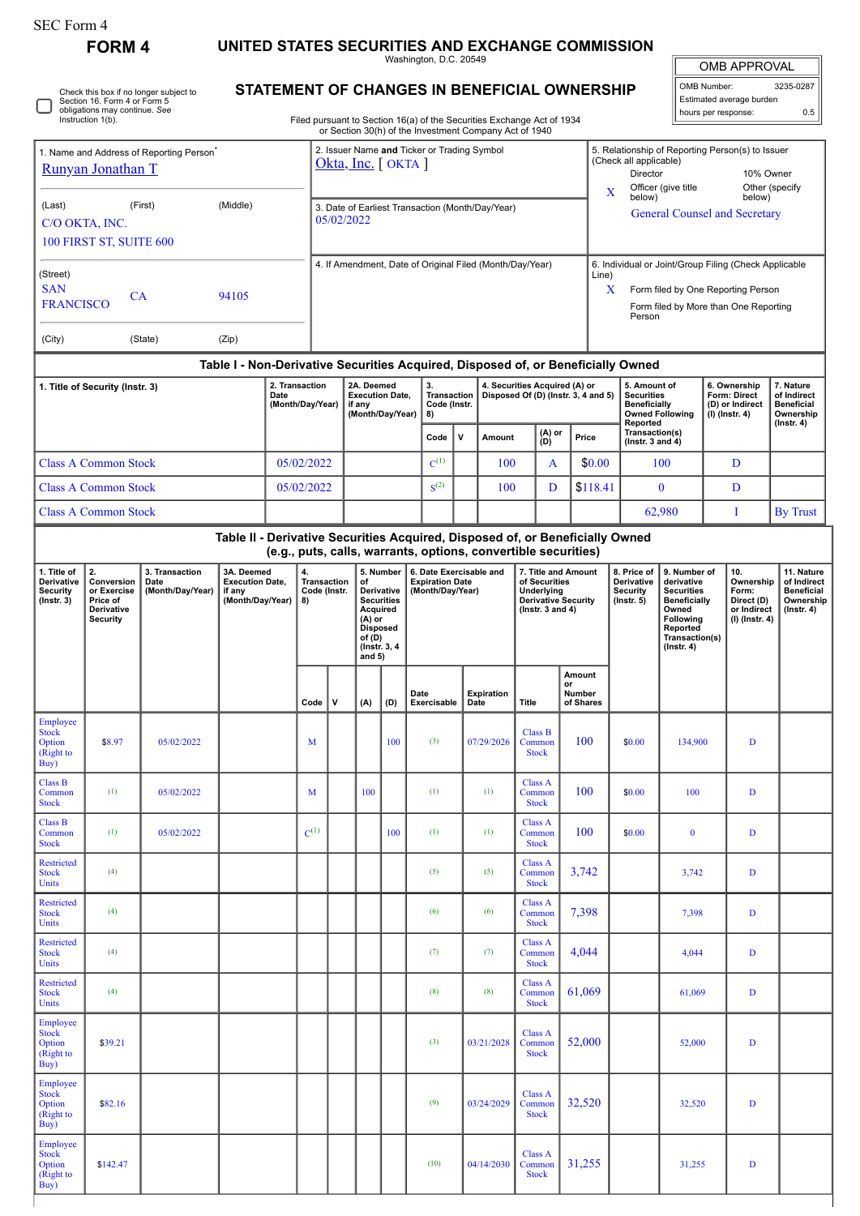| r orm |  |
|-------|--|
|-------|--|

**FORM 4 UNITED STATES SECURITIES AND EXCHANGE COMMISSION**

Washington, D.C. 20549

OMB APPROVAL

| OMB Number:              | 3235-0287 |
|--------------------------|-----------|
| Estimated average burden |           |
| hours per response:      | 0.5       |

## **STATEMENT OF CHANGES IN BENEFICIAL OWNERSHIP**

Filed pursuant to Section 16(a) of the Securities Exchange Act of 1934 or Section 30(h) of the Investment Company Act of 1940

| 1. Name and Address of Reporting Person <sup>®</sup><br>Runyan Jonathan T     |                                                                              |                                            |                                                                    |  |                                         | 2. Issuer Name and Ticker or Trading Symbol<br>Okta, Inc. $\lceil$ OKTA $\rceil$ |                                                                                                                                                                                                                 |           |                                                                                                                                                                                                |   |                                                                                                          |                                          |                                            | 5. Relationship of Reporting Person(s) to Issuer<br>(Check all applicable)<br>Director<br>10% Owner<br>Officer (give title<br>Other (specify<br>X            |                                                                                                                                                       |                                                                   |                                                                          |                                                                                 |            |
|-------------------------------------------------------------------------------|------------------------------------------------------------------------------|--------------------------------------------|--------------------------------------------------------------------|--|-----------------------------------------|----------------------------------------------------------------------------------|-----------------------------------------------------------------------------------------------------------------------------------------------------------------------------------------------------------------|-----------|------------------------------------------------------------------------------------------------------------------------------------------------------------------------------------------------|---|----------------------------------------------------------------------------------------------------------|------------------------------------------|--------------------------------------------|--------------------------------------------------------------------------------------------------------------------------------------------------------------|-------------------------------------------------------------------------------------------------------------------------------------------------------|-------------------------------------------------------------------|--------------------------------------------------------------------------|---------------------------------------------------------------------------------|------------|
| (First)<br>(Middle)<br>(Last)<br>C/O OKTA, INC.<br>100 FIRST ST, SUITE 600    |                                                                              |                                            |                                                                    |  |                                         | 3. Date of Earliest Transaction (Month/Day/Year)<br>05/02/2022                   |                                                                                                                                                                                                                 |           |                                                                                                                                                                                                |   |                                                                                                          |                                          |                                            |                                                                                                                                                              | below)                                                                                                                                                |                                                                   |                                                                          | below)<br><b>General Counsel and Secretary</b>                                  |            |
| (Street)<br><b>SAN</b><br>CA<br>94105<br><b>FRANCISCO</b>                     |                                                                              |                                            |                                                                    |  |                                         | 4. If Amendment, Date of Original Filed (Month/Day/Year)                         |                                                                                                                                                                                                                 |           |                                                                                                                                                                                                |   |                                                                                                          |                                          |                                            | 6. Individual or Joint/Group Filing (Check Applicable<br>Line)<br>X<br>Form filed by One Reporting Person<br>Form filed by More than One Reporting<br>Person |                                                                                                                                                       |                                                                   |                                                                          |                                                                                 |            |
| (City)                                                                        |                                                                              | (State)                                    | (Zip)                                                              |  |                                         |                                                                                  |                                                                                                                                                                                                                 |           |                                                                                                                                                                                                |   |                                                                                                          |                                          |                                            |                                                                                                                                                              |                                                                                                                                                       |                                                                   |                                                                          |                                                                                 |            |
| 2. Transaction<br>1. Title of Security (Instr. 3)<br>Date<br>(Month/Day/Year) |                                                                              |                                            |                                                                    |  |                                         | 2A. Deemed<br><b>Execution Date,</b><br>if any<br>(Month/Day/Year)               |                                                                                                                                                                                                                 | 3.<br>8)  | Table I - Non-Derivative Securities Acquired, Disposed of, or Beneficially Owned<br>4. Securities Acquired (A) or<br><b>Transaction</b><br>Disposed Of (D) (Instr. 3, 4 and 5)<br>Code (Instr. |   |                                                                                                          |                                          |                                            | 5. Amount of<br><b>Securities</b><br><b>Beneficially</b>                                                                                                     | <b>Owned Following</b>                                                                                                                                | 6. Ownership<br>Form: Direct<br>(D) or Indirect<br>(I) (Instr. 4) |                                                                          | 7. Nature<br>of Indirect<br><b>Beneficial</b><br>Ownership                      |            |
|                                                                               |                                                                              |                                            |                                                                    |  |                                         |                                                                                  |                                                                                                                                                                                                                 |           | Code                                                                                                                                                                                           | v | Amount                                                                                                   | (A) or<br>Price<br>(D)                   |                                            |                                                                                                                                                              |                                                                                                                                                       | Reported<br>Transaction(s)<br>( $lnstr. 3 and 4$ )                |                                                                          |                                                                                 | (Instr. 4) |
|                                                                               | <b>Class A Common Stock</b>                                                  |                                            |                                                                    |  | 05/02/2022                              |                                                                                  |                                                                                                                                                                                                                 | $C^{(1)}$ |                                                                                                                                                                                                |   | 100<br>A                                                                                                 |                                          | \$0.00                                     |                                                                                                                                                              | 100                                                                                                                                                   | D                                                                 |                                                                          |                                                                                 |            |
|                                                                               | <b>Class A Common Stock</b>                                                  |                                            |                                                                    |  | 05/02/2022                              |                                                                                  |                                                                                                                                                                                                                 |           | S <sup>(2)</sup>                                                                                                                                                                               |   | 100                                                                                                      | D                                        |                                            | \$118.41                                                                                                                                                     |                                                                                                                                                       | $\bf{0}$                                                          |                                                                          | D                                                                               |            |
|                                                                               | <b>Class A Common Stock</b>                                                  |                                            |                                                                    |  |                                         |                                                                                  |                                                                                                                                                                                                                 |           |                                                                                                                                                                                                |   |                                                                                                          |                                          |                                            |                                                                                                                                                              |                                                                                                                                                       | 62,980                                                            |                                                                          | Ι                                                                               | By Trust   |
|                                                                               |                                                                              |                                            |                                                                    |  |                                         |                                                                                  |                                                                                                                                                                                                                 |           | Table II - Derivative Securities Acquired, Disposed of, or Beneficially Owned<br>(e.g., puts, calls, warrants, options, convertible securities)                                                |   |                                                                                                          |                                          |                                            |                                                                                                                                                              |                                                                                                                                                       |                                                                   |                                                                          |                                                                                 |            |
| 1. Title of<br>Derivative<br><b>Security</b><br>$($ Instr. 3 $)$              | 2.<br>Conversion<br>or Exercise<br>Price of<br>Derivative<br><b>Security</b> | 3. Transaction<br>Date<br>(Month/Day/Year) | 3A. Deemed<br><b>Execution Date,</b><br>if any<br>(Month/Day/Year) |  | 4.<br>Transaction<br>Code (Instr.<br>8) |                                                                                  | 6. Date Exercisable and<br>5. Number<br><b>Expiration Date</b><br>of<br>Derivative<br>(Month/Day/Year)<br><b>Securities</b><br>Acquired<br>$(A)$ or<br><b>Disposed</b><br>of $(D)$<br>(Instr. 3, 4)<br>and $5)$ |           |                                                                                                                                                                                                |   | 7. Title and Amount<br>of Securities<br>Underlying<br><b>Derivative Security</b><br>( $lnstr. 3 and 4$ ) |                                          |                                            | 8. Price of<br>Derivative<br><b>Security</b><br>$($ lnstr. 5 $)$                                                                                             | 9. Number of<br>derivative<br><b>Securities</b><br><b>Beneficially</b><br>Owned<br><b>Following</b><br>Reported<br>Transaction(s)<br>$($ Instr. 4 $)$ |                                                                   | 10.<br>Ownership<br>Form:<br>Direct (D)<br>or Indirect<br>(I) (Instr. 4) | 11. Nature<br>of Indirect<br><b>Beneficial</b><br>Ownership<br>$($ Instr. 4 $)$ |            |
|                                                                               |                                                                              |                                            |                                                                    |  | Code                                    | ٧                                                                                | (A)                                                                                                                                                                                                             | (D)       | Date<br>Exercisable                                                                                                                                                                            |   | <b>Expiration</b><br>Date                                                                                | Title                                    | Amount<br>or<br><b>Number</b><br>of Shares |                                                                                                                                                              |                                                                                                                                                       |                                                                   |                                                                          |                                                                                 |            |
| Employee<br><b>Stock</b><br>Option<br>(Right to<br>Buy)                       | \$8.97                                                                       | 05/02/2022                                 |                                                                    |  | M                                       |                                                                                  |                                                                                                                                                                                                                 | 100       | (3)                                                                                                                                                                                            |   | 07/29/2026                                                                                               | <b>Class B</b><br>Common<br><b>Stock</b> | 100                                        |                                                                                                                                                              | \$0.00                                                                                                                                                | 134,900                                                           |                                                                          | D                                                                               |            |
| <b>Class B</b><br>Common<br><b>Stock</b>                                      | (1)                                                                          | 05/02/2022                                 |                                                                    |  | M                                       |                                                                                  | 100                                                                                                                                                                                                             |           | (1)                                                                                                                                                                                            |   | (1)                                                                                                      | Class A<br>Common<br><b>Stock</b>        | 100                                        |                                                                                                                                                              | \$0.00                                                                                                                                                | 100                                                               |                                                                          | D                                                                               |            |
| <b>Class B</b><br>Common<br><b>Stock</b>                                      | (1)                                                                          | 05/02/2022                                 |                                                                    |  | $C^{(1)}$                               |                                                                                  |                                                                                                                                                                                                                 | 100       | (1)                                                                                                                                                                                            |   | (1)                                                                                                      | <b>Class A</b><br>Common<br><b>Stock</b> | 100                                        |                                                                                                                                                              | \$0.00                                                                                                                                                | $\bf{0}$                                                          |                                                                          | $\mathbf D$                                                                     |            |
| <b>Restricted</b><br><b>Stock</b><br><b>Units</b>                             | (4)                                                                          |                                            |                                                                    |  |                                         |                                                                                  |                                                                                                                                                                                                                 |           | (5)                                                                                                                                                                                            |   | (5)                                                                                                      | <b>Class A</b><br>Common<br><b>Stock</b> | 3,742                                      |                                                                                                                                                              |                                                                                                                                                       | 3,742                                                             |                                                                          | D                                                                               |            |
| <b>Restricted</b><br><b>Stock</b><br>Units                                    | (4)                                                                          |                                            |                                                                    |  |                                         |                                                                                  |                                                                                                                                                                                                                 |           | (6)                                                                                                                                                                                            |   | (6)                                                                                                      | <b>Class A</b><br>Common<br><b>Stock</b> | 7,398                                      |                                                                                                                                                              |                                                                                                                                                       | 7,398                                                             |                                                                          | D                                                                               |            |
| <b>Restricted</b><br><b>Stock</b><br><b>Units</b>                             | (4)                                                                          |                                            |                                                                    |  |                                         |                                                                                  |                                                                                                                                                                                                                 |           | (7)                                                                                                                                                                                            |   | (7)                                                                                                      | <b>Class A</b><br>Common<br><b>Stock</b> | 4,044                                      |                                                                                                                                                              |                                                                                                                                                       | 4,044                                                             |                                                                          | D                                                                               |            |
| <b>Restricted</b><br><b>Stock</b><br><b>Units</b>                             | (4)                                                                          |                                            |                                                                    |  |                                         |                                                                                  |                                                                                                                                                                                                                 |           | (8)                                                                                                                                                                                            |   | (8)                                                                                                      | <b>Class A</b><br>Common<br><b>Stock</b> | 61,069                                     |                                                                                                                                                              |                                                                                                                                                       | 61,069                                                            |                                                                          | D                                                                               |            |
| Employee<br><b>Stock</b><br>Option<br>(Right to<br>Buy)                       | \$39.21                                                                      |                                            |                                                                    |  |                                         |                                                                                  |                                                                                                                                                                                                                 |           | (3)                                                                                                                                                                                            |   | 03/21/2028                                                                                               | Class A<br>Common<br><b>Stock</b>        | 52,000                                     |                                                                                                                                                              |                                                                                                                                                       | 52,000                                                            |                                                                          | $\mathbf D$                                                                     |            |
| Employee<br><b>Stock</b><br>Option<br>(Right to<br>Buy)                       | \$82.16                                                                      |                                            |                                                                    |  |                                         |                                                                                  |                                                                                                                                                                                                                 |           | (9)                                                                                                                                                                                            |   | 03/24/2029                                                                                               | Class A<br>Common<br><b>Stock</b>        | 32,520                                     |                                                                                                                                                              |                                                                                                                                                       | 32,520                                                            |                                                                          | $\mathbf D$                                                                     |            |
| Employee<br><b>Stock</b><br>Option<br>(Right to<br>Buy)                       | \$142.47                                                                     |                                            |                                                                    |  |                                         |                                                                                  |                                                                                                                                                                                                                 |           | (10)                                                                                                                                                                                           |   | 04/14/2030                                                                                               | Class A<br>Common<br><b>Stock</b>        | 31,255                                     |                                                                                                                                                              |                                                                                                                                                       | 31,255                                                            |                                                                          | $\mathbf D$                                                                     |            |